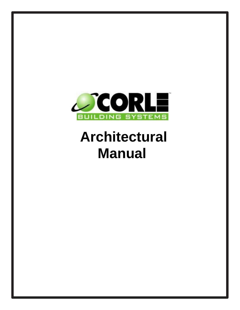

# **Architectural Manual**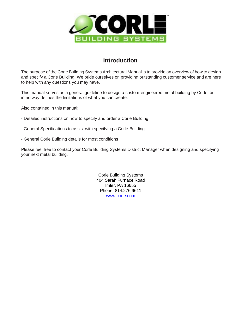

### **Introduction**

The purpose of the Corle Building Systems Architectural Manual is to provide an overview of how to design and specify a Corle Building. We pride ourselves on providing outstanding customer service and are here to help with any questions you may have.

This manual serves as a general guideline to design a custom-engineered metal building by Corle, but in no way defines the limitations of what you can create.

Also contained in this manual:

- Detailed instructions on how to specify and order a Corle Building
- General Specifications to assist with specifying a Corle Building
- General Corle Building details for most conditions

Please feel free to contact your Corle Building Systems District Manager when designing and specifying your next metal building.

> Corle Building Systems 404 Sarah Furnace Road Imler, PA 16655 Phone: 814.276.9611 [www.corle.com](http://www.corle.com/)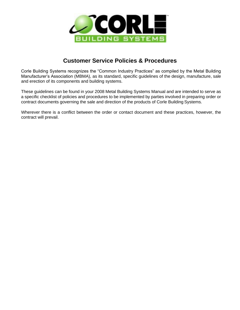

### **Customer Service Policies & Procedures**

Corle Building Systems recognizes the "Common Industry Practices" as compiled by the Metal Building Manufacturer's Association (MBMA), as its standard, specific guidelines of the design, manufacture, sale and erection of its components and building systems.

These guidelines can be found in your 2008 Metal Building Systems Manual and are intended to serve as a specific checklist of policies and procedures to be implemented by parties involved in preparing order or contract documents governing the sale and direction of the products of Corle Building Systems.

Wherever there is a conflict between the order or contact document and these practices, however, the contract will prevail.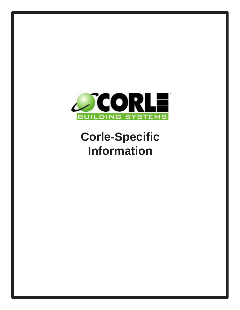

## **Corle-Specific Information**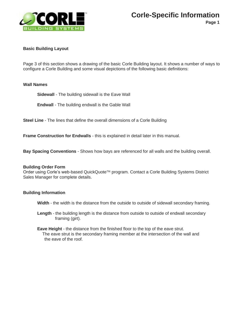

### **Corle-Specific Information**

**Page 1**

### **Basic Building Layout**

Page 3 of this section shows a drawing of the basic Corle Building layout. It shows a number of ways to configure a Corle Building and some visual depictions of the following basic definitions:

### **Wall Names**

**Sidewall** - The building sidewall is the Eave Wall

**Endwall** - The building endwall is the Gable Wall

**Steel Line** - The lines that define the overall dimensions of a Corle Building

**Frame Construction for Endwalls** - this is explained in detail later in this manual.

**Bay Spacing Conventions** - Shows how bays are referenced for all walls and the building overall.

### **Building Order Form**

Order using Corle's web-based QuickQuote™ program. Contact a Corle Building Systems District Sales Manager for complete details.

### **Building Information**

**Width** - the width is the distance from the outside to outside of sidewall secondary framing.

- **Length**  the building length is the distance from outside to outside of endwall secondary framing (girt).
- **Eave Height**  the distance from the finished floor to the top of the eave strut. The eave strut is the secondary framing member at the intersection of the wall and the eave of the roof.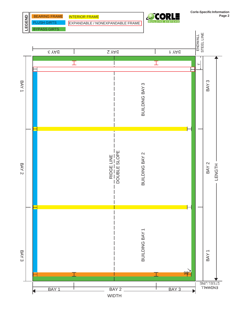

**Corle-Specific Information Page 2**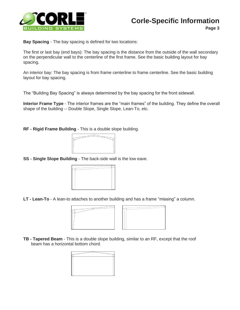

**Page 3**

**Bay Spacing** - The bay spacing is defined for two locations:

The first or last bay (end bays): The bay spacing is the distance from the outside of the wall secondary on the perpendicular wall to the centerline of the first frame. See the basic building layout for bay spacing.

An interior bay: The bay spacing is from frame centerline to frame centerline. See the basic building layout for bay spacing.

The "Building Bay Spacing" is always determined by the bay spacing for the front sidewall.

**Interior Frame Type** - The interior frames are the "main frames" of the building. They define the overall shape of the building -- Double Slope, Single Slope, Lean-To, etc.

**RF - Rigid Frame Building** - This is a double slope building.



**SS - Single Slope Building** - The back-side wall is the low eave.



**LT - Lean-To** - A lean-to attaches to another building and has a frame "missing" a column.





**TB - Tapered Beam** - This is a double slope building, similar to an RF, except that the roof beam has a horizontal bottom chord.

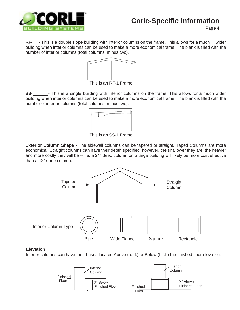

### **Corle-Specific Information**

**Page 4**

**RF-**  $\overline{\phantom{a}}$  - This is a double slope building with interior columns on the frame. This allows for a much wider building when interior columns can be used to make a more economical frame. The blank is filled with the number of interior columns (total columns, minus two).



This is an RF-1 Frame

**SS-** Fhis is a single building with interior columns on the frame. This allows for a much wider building when interior columns can be used to make a more economical frame. The blank is filled with the number of interior columns (total columns, minus two).



This is an SS-1 Frame

**Exterior Column Shape** - The sidewall columns can be tapered or straight. Taped Columns are more economical. Straight columns can have their depth specified, however, the shallower they are, the heavier and more costly they will be -- i.e. a 24" deep column on a large building will likely be more cost effective than a 12" deep column.



### **Elevation**

Interior columns can have their bases located Above (a.f.f.) or Below (b.f.f.) the finished floor elevation.

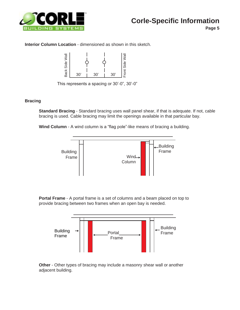

**Page 5**

### **Interior Column Location** - dimensioned as shown in this sketch.



This represents a spacing or 30'-0", 30'-0"

### **Bracing**

**Standard Bracing** - Standard bracing uses wall panel shear, if that is adequate. If not, cable bracing is used. Cable bracing may limit the openings available in that particular bay.

**Wind Column** - A wind column is a "flag pole"-like means of bracing a building.



**Portal Frame** - A portal frame is a set of columns and a beam placed on top to provide bracing between two frames when an open bay is needed.



**Other** - Other types of bracing may include a masonry shear wall or another adjacent building.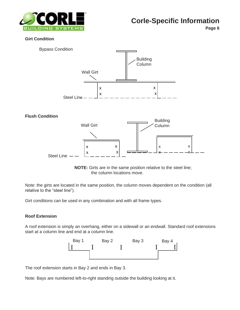

### **Corle-Specific Information**

**Page 6**

### **Girt Condition**



### **Flush Condition**



**NOTE:** Girts are in the same position relative to the steel line; the column locations move.

Note: the girts are located in the same position, the column moves dependent on the condition (all relative to the "steel line").

Girt conditions can be used in any combination and with all frame types.

### **Roof Extension**

A roof extension is simply an overhang, either on a sidewall or an endwall. Standard roof extensions start at a column line and end at a column line.



The roof extension starts in Bay 2 and ends in Bay 3.

Note: Bays are numbered left-to-right standing outside the building looking at it.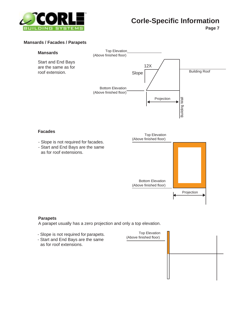

**Page 7**

### **Mansards / Facades / Parapets**



### **Facades**

- Slope is not required for facades.
- Start and End Bays are the same as for roof extensions.



### **Parapets**

A parapet usually has a zero projection and only a top elevation.

- Slope is not required for parapets.
- Start and End Bays are the same as for roof extensions.

Top Elevation (Above finished floor)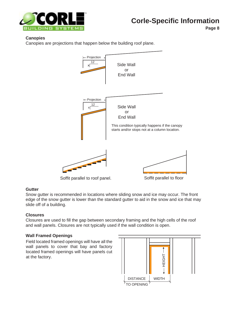

**Page 8**

### **Canopies**

Canopies are projections that happen below the building roof plane.



### **Gutter**

Snow gutter is recommended in locations where sliding snow and ice may occur. The front edge of the snow gutter is lower than the standard gutter to aid in the snow and ice that may slide off of a building.

### **Closures**

Closures are used to fill the gap between secondary framing and the high cells of the roof and wall panels. Closures are not typically used if the wall condition is open.

### **Wall Framed Openings**

Field located framed openings will have all the wall panels to cover that bay and factory located framed openings will have panels cut at the factory.

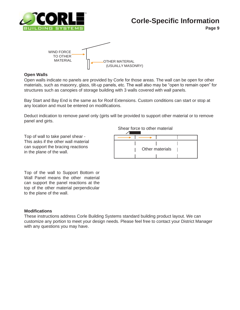

### **Corle-Specific Information**

**Page 9**



### **Open Walls**

Open walls indicate no panels are provided by Corle for those areas. The wall can be open for other materials, such as masonry, glass, tilt-up panels, etc. The wall also may be "open to remain open" for structures such as canopies of storage building with 3 walls covered with wall panels.

Bay Start and Bay End is the same as for Roof Extensions. Custom conditions can start or stop at any location and must be entered on modifications.

Deduct indication to remove panel only (girts will be provided to support other material or to remove panel and girts.

Top of wall to take panel shear - This asks if the other wall material can support the bracing reactions in the plane of the wall.

Shear force to other material



Top of the wall to Support Bottom or Wall Panel means the other material can support the panel reactions at the top of the other material perpendicular to the plane of the wall.

### **Modifications**

These instructions address Corle Building Systems standard building product layout. We can customize any portion to meet your design needs. Please feel free to contact your District Manager with any questions you may have.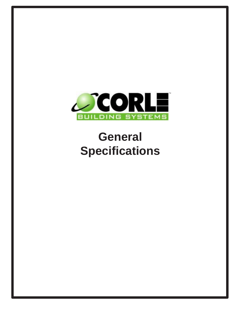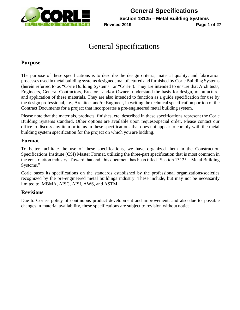

**General Specifications Section 13125 – Metal Building Systems Revised 2019 Page 1 of 27**

## General Specifications

### **Purpose**

The purpose of these specifications is to describe the design criteria, material quality, and fabrication processes used in metal building systems designed, manufactured and furnished by Corle Building Systems (herein referred to as "Corle Building Systems" or "Corle"). They are intended to ensure that Architects, Engineers, General Contractors, Erectors, and/or Owners understand the basis for design, manufacture, and application of these materials. They are also intended to function as a guide specification for use by the design professional, i.e., Architect and/or Engineer, in writing the technical specification portion of the Contract Documents for a project that incorporates a pre-engineered metal building system.

Please note that the materials, products, finishes, etc. described in these specifications represent the Corle Building Systems standard. Other options are available upon request/special order. Please contact our office to discuss any item or items in these specifications that does not appear to comply with the metal building system specification for the project on which you are bidding.

### **Format**

To better facilitate the use of these specifications, we have organized them in the Construction Specifications Institute (CSI) Master Format, utilizing the three-part specification that is most common in the construction industry. Toward that end, this document has been titled "Section 13125 – Metal Building Systems."

Corle bases its specifications on the standards established by the professional organizations/societies recognized by the pre-engineered metal buildings industry. These include, but may not be necessarily limited to, MBMA, AISC, AISI, AWS, and ASTM.

### **Revisions**

Due to Corle's policy of continuous product development and improvement, and also due to possible changes in material availability, these specifications are subject to revision without notice.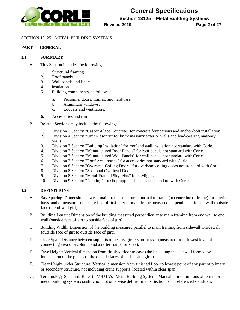

**Section 13125 – Metal Building Systems**

**Revised 2019 Page 2 of 27**

#### SECTION 13125 - METAL BUILDING SYSTEMS

### **PART 1 - GENERAL**

#### **1.1 SUMMARY**

- A. This Section includes the following:
	- 1. Structural framing.
	- 2. Roof panels.
	- 3. Wall panels and liners.
	- 4. Insulation.
	- 5. Building components, as follows:
		- a. Personnel doors, frames, and hardware.
		- b. Aluminum windows.
		- c. Louvers and ventilators.
	- 6. Accessories and trim.
- B. Related Sections may include the following:
	- 1. Division 3 Section "Cast-in-Place Concrete" for concrete foundations and anchor-bolt installation.
	- 2. Division 4 Section "Unit Masonry" for brick masonry exterior walls and load-bearing masonry walls.
	- 3. Division 7 Section "Building Insulation" for roof and wall insulation not standard with Corle.
	- 4. Division 7 Section "Manufactured Roof Panels" for roof panels not standard withCorle.
	- 5. Division 7 Section "Manufactured Wall Panels" for wall panels not standard with Corle.
	- 6. Division 7 Section "Roof Accessories" for accessories not standard with Corle.
	- 7. Division 8 Section "Overhead Coiling Doors" for overhead coiling doors not standard with Corle.
	- 8. Division 8 Section "Sectional Overhead Doors."
	- 9. Division 8 Section "Metal-Framed Skylights" for skylights.
	- 10. Division 9 Section "Painting" for shop-applied finishes not standard with Corle.

#### **1.2 DEFINITIONS**

- A. Bay Spacing: Dimension between main frames measured normal to frame (at centerline of frame) for interior bays, and dimension from centerline of first interior main frame measured perpendicular to end wall (outside face of end-wall girt).
- B. Building Length: Dimension of the building measured perpendicular to main framing from end wall to end wall (outside face of girt to outside face of girt).
- C. Building Width: Dimension of the building measured parallel to main framing from sidewall to sidewall (outside face of girt to outside face of girt).
- D. Clear Span: Distance between supports of beams, girders, or trusses (measured from lowest level of connecting area of a column and a rafter frame, or knee).
- E. Eave Height: Vertical dimension from finished floor to eave (the line along the sidewall formed by intersection of the planes of the outside faces of purlins and girts).
- F. Clear Height under Structure: Vertical dimension from finished floor to lowest point of any part of primary or secondary structure, not including crane supports, located within clear span.
- G. Terminology Standard: Refer to MBMA's "Metal Building Systems Manual" for definitions of terms for metal building system construction not otherwise defined in this Section or in referenced standards.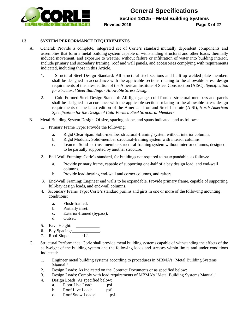

#### **1.3 SYSTEM PERFORMANCE REQUIREMENTS**

- A. General: Provide a complete, integrated set of Corle's standard mutually dependent components and assemblies that form a metal building system capable of withstanding structural and other loads, thermally induced movement, and exposure to weather without failure or infiltration of water into building interior. Include primary and secondary framing, roof and wall panels, and accessories complying with requirements indicated, including those in this Article.
	- 1. Structural Steel Design Standard: All structural steel sections and built-up welded-plate members shall be designed in accordance with the applicable sections relating to the allowable stress design requirements of the latest edition of the American Institute of Steel Construction (AISC), *Specification for Structural Steel Buildings - Allowable Stress Design*.
	- 2. Cold-Formed Steel Design Standard: All light-gauge, cold-formed structural members and panels shall be designed in accordance with the applicable sections relating to the allowable stress design requirements of the latest edition of the American Iron and Steel Institute (AISI), *North American Specification for the Design of Cold-Formed Steel Structural Members*.
- B. Metal Building System Design: Of size, spacing, slope, and spans indicated, and as follows:
	- 1. Primary Frame Type: Provide the following:
		- a. Rigid Clear Span: Solid-member structural-framing system without interior columns.
		- b. Rigid Modular: Solid-member structural-framing system with interior columns.
		- c. Lean to: Solid- or truss-member structural-framing system without interior columns, designed to be partially supported by another structure.
	- 2. End-Wall Framing: Corle's standard, for buildings not required to be expandable, as follows:
		- a. Provide primary frame, capable of supporting one-half of a bay design load, and end-wall columns.
		- b. Provide load-bearing end-wall and corner columns, and rafters.
	- 3. End-Wall Framing: Engineer end walls to be expandable. Provide primary frame, capable of supporting full-bay design loads, and end-wall columns.
	- 4. Secondary Frame Type: Corle's standard purlins and girts in one or more of the following mounting conditions:
		- a. Flush-framed.
		- b. Partially inset.
		- c. Exterior-framed (bypass).
		- d. Outset.
	- 5. Eave Height: .
	- 6. Bay Spacing: .
	- 7. Roof Slope: :12.
- C. Structural Performance: Corle shall provide metal building systems capable of withstanding the effects of the selfweight of the building system and the following loads and stresses within limits and under conditions indicated:
	- 1. Engineer metal building systems according to procedures in MBMA's "Metal Building Systems Manual."
	- 2. Design Loads: As indicated on the Contract Documents or as specified below:
	- 3. Design Loads: Comply with load requirements of MBMA's "Metal Building Systems Manual."
	- 4. Design Loads: As specified below:
		- a. Floor Live Load: psf.
		- b. Roof Live Load: psf.
		- c. Roof Snow Loads:  $psf$ .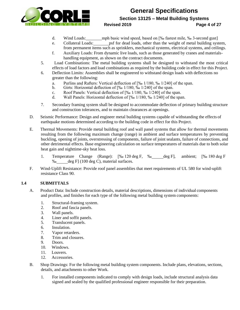

### **General Specifications Section 13125 – Metal Building Systems Revised 2019 Page 4 of 27**

- d. Wind Loads: mph basic wind speed, based on [‰ fastest mile, ‰ 3-second gust]
- e. Collateral Loads: psf for dead loads, other than the weight of metal building system, from permanent items such as sprinklers, mechanical systems, electrical systems, and ceilings.
- f. Auxiliary Loads: From dynamic live loads, such as those generated by cranes and materialshandling equipment, as shown on the contract documents.
- 5. Load Combinations: The metal building systems shall be designed to withstand the most critical effects of load factors and load combinations as required by the building code in effect for this Project.
- 6. Deflection Limits: Assemblies shall be engineered to withstand design loads with deflections no greater than the following:
	- a. Purlins and Rafters: Vertical deflection of [‰ 1/180, ‰ 1/240] of the span.
	- b. Girts: Horizontal deflection of [‰ 1/180, ‰ 1/240] of the span.
	- c. Roof Panels: Vertical deflection of [‰ 1/180, ‰ 1/240] of the span.
	- d. Wall Panels: Horizontal deflection of [‰ 1/180, ‰ 1/240] of the span.
- 7. Secondary framing system shall be designed to accommodate deflection of primary building structure and construction tolerances, and to maintain clearances at openings.
- D. Seismic Performance: Design and engineer metal building systems capable of withstanding the effects of earthquake motions determined according to the building code in effect for this Project.
- E. Thermal Movements: Provide metal building roof and wall panel systems that allow for thermal movements resulting from the following maximum change (range) in ambient and surface temperatures by preventing buckling, opening of joints, overstressing of components, failure of joint sealants, failure of connections, and other detrimental effects. Base engineering calculation on surface temperatures of materials due to both solar heat gain and nighttime-sky heat loss.
	- 1. Temperature Change (Range): [‰ 120 deg F, ‰ deg F], ambient; [‰ 180 deg F ‰ deg F] (100 deg C), material surfaces.
- F. Wind-Uplift Resistance: Provide roof panel assemblies that meet requirements of UL 580 for wind-uplift resistance Class 90.

### **1.4 SUBMITTALS**

- A. Product Data: Include construction details, material descriptions, dimensions of individual components and profiles, and finishes for each type of the following metal building system components:
	- 1. Structural-framing system.
	- 2. Roof and fascia panels.
	- 3. Wall panels.
	- 4. Liner and soffit panels.
	- 5. Translucent panels.
	- 6. Insulation.
	- 7. Vapor retarders.
	- 8. Trim and closures.
	- 9. Doors.
	- 10. Windows.
	- 11. Louvers.
	- 12. Accessories.
- B. Shop Drawings: For the following metal building system components. Include plans, elevations, sections, details, and attachments to other Work.
	- 1. For installed components indicated to comply with design loads, include structural analysis data signed and sealed by the qualified professional engineer responsible for their preparation.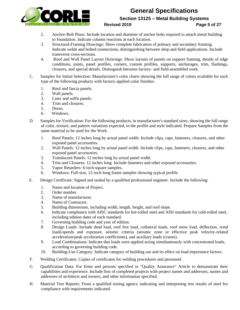

### **General Specifications Section 13125 – Metal Building Systems**

### **Revised 2019 Page 5 of 27**

- 2. Anchor-Bolt Plans: Include location and diameter of anchor bolts required to attach metal building to foundation. Indicate column reactions at each location.
- 3. Structural-Framing Drawings: Show complete fabrication of primary and secondary framing. Indicate welds and bolted connections, distinguishing between shop and field applications. Include transverse cross-sections.
- 4. Roof and Wall Panel Layout Drawings: Show layouts of panels on support framing, details of edge conditions, joints, panel profiles, corners, custom profiles, supports, anchorages, trim, flashings, closures, and special details. Distinguish between factory- and field-assembled work.
- C. Samples for Initial Selection: Manufacturer's color charts showing the full range of colors available for each type of the following products with factory-applied color finishes:
	- 1. Roof and fascia panels.
	- 2. Wall panels.
	- 3. Liner and soffit panels.
	- 4. Trim and closures.
	- 5. Doors.
	- 6. Windows.
- D. Samples for Verification: For the following products, in manufacturer's standard sizes, showing the full range of color, texture, and pattern variations expected, in the profile and style indicated. Prepare Samples from the same material to be used for the Work.
	- 1. Roof Panels: 12 inches long by actual panel width. Include clips, caps, fasteners, closures, and other exposed panel accessories.
	- 2. Wall Panels: 12 inches long by actual panel width. Include clips, caps, fasteners, closures, and other exposed panel accessories.
	- 3. Translucent Panels: 12 inches long by actual panel width.
	- 4. Trim and Closures: 12 inches long. Include fasteners and other exposed accessories.
	- 5. Vapor Retarders: 6-inch-square samples.
	- 6. Windows: Full-size, 12-inch-long frame samples showing typical profile.
- E. Design Certificate: Signed and sealed by a qualified professional engineer. Include the following:
	- 1. Name and location of Project.
	- 2. Order number.
	- 3. Name of manufacturer.
	- 4. Name of Contractor.
	- 5. Building dimensions, including width, length, height, and roof slope.
	- 6. Indicate compliance with AISC standards for hot-rolled steel and AISI standards for cold-rolled steel, including edition dates of each standard.
	- 7. Governing building code and year of edition.
	- 8. Design Loads: Include dead load, roof live load, collateral loads, roof snow load, deflection, wind loads/speeds and exposure, seismic criteria (seismic zone or effective peak velocity-related acceleration/peak acceleration coefficients), and auxiliary loads (cranes).
	- 9. Load Combinations: Indicate that loads were applied acting simultaneously with concentrated loads, according to governing building code.
	- 10. Building-Use Category: Indicate category of building use and its effect on load importance factors.
- F. Welding Certificates: Copies of certificates for welding procedures and personnel.
- G. Qualification Data: For firms and persons specified in "Quality Assurance" Article to demonstrate their capabilities and experience. Include lists of completed projects with project names and addresses, names and addresses of architects and owners, and other information specified.
- H. Material Test Reports: From a qualified testing agency indicating and interpreting test results of steel for compliance with requirements indicated.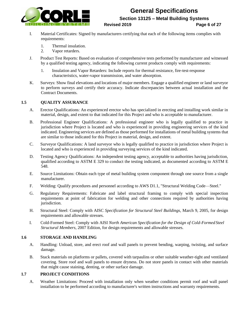

### **General Specifications Section 13125 – Metal Building Systems**

#### **Revised 2019 Page 6 of 27**

- I. Material Certificates: Signed by manufacturers certifying that each of the following items complies with requirements:
	- 1. Thermal insulation.
	- 2. Vapor retarders.
- J. Product Test Reports: Based on evaluation of comprehensive tests performed by manufacturer and witnessed by a qualified testing agency, indicating the following current products comply with requirements:
	- 1. Insulation and Vapor Retarders: Include reports for thermal resistance, fire-test-response characteristics, water-vapor transmission, and water absorption.
- K. Surveys: Show final elevations and locations of major members. Engage a qualified engineer or land surveyor to perform surveys and certify their accuracy. Indicate discrepancies between actual installation and the Contract Documents.

### **1.5 QUALITY ASSURANCE**

- A. Erector Qualifications: An experienced erector who has specialized in erecting and installing work similar in material, design, and extent to that indicated for this Project and who is acceptable to manufacturer.
- B. Professional Engineer Qualifications: A professional engineer who is legally qualified to practice in jurisdiction where Project is located and who is experienced in providing engineering services of the kind indicated. Engineering services are defined as those performed for installations of metal building systems that are similar to those indicated for this Project in material, design, and extent.
- C. Surveyor Qualifications: A land surveyor who is legally qualified to practice in jurisdiction where Project is located and who is experienced in providing surveying services of the kind indicated.
- D. Testing Agency Qualifications: An independent testing agency, acceptable to authorities having jurisdiction, qualified according to ASTM E 329 to conduct the testing indicated, as documented according to ASTM E 548.
- E. Source Limitations: Obtain each type of metal building system component through one source from a single manufacturer.
- F. Welding: Qualify procedures and personnel according to AWS D1.1, "Structural Welding Code—Steel."
- G. Regulatory Requirements: Fabricate and label structural framing to comply with special inspection requirements at point of fabrication for welding and other connections required by authorities having jurisdiction.
- H. Structural Steel: Comply with AISC *Specification for Structural Steel Buildings*, March 9, 2005, for design requirements and allowable stresses.
- I. Cold-Formed Steel: Comply with AISI *North American Specification for the Design of Cold-Formed Steel Structural Members*, 2007 Edition, for design requirements and allowable stresses.

#### **1.6 STORAGE AND HANDLING**

- A. Handling: Unload, store, and erect roof and wall panels to prevent bending, warping, twisting, and surface damage.
- B. Stack materials on platforms or pallets, covered with tarpaulins or other suitable weather-tight and ventilated covering. Store roof and wall panels to ensure dryness. Do not store panels in contact with other materials that might cause staining, denting, or other surface damage.

#### **1.7 PROJECT CONDITIONS**

A. Weather Limitations: Proceed with installation only when weather conditions permit roof and wall panel installation to be performed according to manufacturer's written instructions and warranty requirements.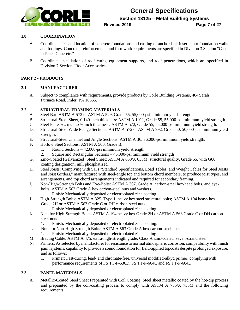

**Section 13125 – Metal Building Systems**

#### **Revised 2019 Page 7 of 27**

### **1.8 COORDINATION**

- A. Coordinate size and location of concrete foundations and casting of anchor-bolt inserts into foundation walls and footings. Concrete, reinforcement, and formwork requirements are specified in Division 3 Section "Castin-Place Concrete."
- B. Coordinate installation of roof curbs, equipment supports, and roof penetrations, which are specified in Division 7 Section "Roof Accessories."

### **PART 2 - PRODUCTS**

#### **2.1 MANUFACTURER**

A. Subject to compliance with requirements, provide products by Corle Building Systems, 404 Sarah Furnace Road, Imler, PA 16655.

### **2.2 STRUCTURAL-FRAMING MATERIALS**

- A. Steel Bar: ASTM A 572 or ASTM A 529, Grade 55, 55,000-psi minimum yield strength.
- B. Structural-Steel Sheet, 0.149-inch thickness: ASTM A 1011, Grade 55, 55,000-psi minimum yield strength.
- C. Steel Plate,  $\frac{3}{16}$ -inch to  $\frac{3}{8}$ -inch thickness: ASTM A 572, Grade 55, 55,000-psi minimum yield strength.
- D. Structural-Steel Wide Flange Sections: ASTM A 572 or ASTM A 992, Grade 50, 50,000-psi minimum yield strength.
- E. Structural-Steel Channel and Angle Sections: ASTM A 36, 36,000-psi minimum yield strength.
- F. Hollow Steel Sections: ASTM A 500, Grade B.
	- 1. Round Sections 42,000-psi minimum yield strength
	- 2. Square and Rectangular Sections 46,000-psi minimum yield strength
- G. Zinc-Coated (Galvanized) Steel Sheet: ASTM A 653/A 653M, structural quality, Grade 55, with G60 coating designation; mill phosphatized.
- H. Steel Joists: Complying with SJI's "Standard Specifications, Load Tables, and Weight Tables for Steel Joists and Joist Girders," manufactured with steel-angle top and bottom chord members, to produce joist types, end arrangements, and top chord arrangements indicated and required for secondary framing.
- I. Non-High-Strength Bolts and Eye-Bolts: ASTM A 307, Grade A, carbon-steel hex-head bolts, and eyebolts; ASTM A 563 Grade A hex carbon-steel nuts and washers.
	- 1. Finish: Mechanically deposited or electroplated zinc coating.
- J. High-Strength Bolts: ASTM A 325, Type 1, heavy hex steel structural bolts; ASTM A 194 heavy hex Grade 2H or ASTM A 563 Grade C or DH carbon-steel nuts.
	- 1. Finish: Mechanically deposited or electroplated zinc coating.
- K. Nuts for High-Strength Bolts: ASTM A 194 heavy hex Grade 2H or ASTM A 563 Grade C or DH carbonsteel nuts.
	- 1. Finish: Mechanically deposited or electroplated zinc coating.
- L. Nuts for Non-High-Strength Bolts: ASTM A 563 Grade A hex carbon-steel nuts.
	- 1. Finish: Mechanically deposited or electroplated zinc coating.
- M. Bracing Cable: ASTM A 475, extra-high-strength grade, Class A zinc-coated, seven-strand steel.
- N. Primers: As selected by manufacturer for resistance to normal atmospheric corrosion, compatibility with finish paint systems, capability to provide a sound foundation for field-applied topcoats despite prolonged exposure, and as follows:
	- 1. Primer: Fast-curing, lead- and chromate-free, universal modified-alkyd primer; complyingwith performance requirements of FS TT-P-636D, FS TT-P-664C and FS TT-P-664D.

### **2.3 PANEL MATERIALS**

A. Metallic-Coated Steel Sheet Prepainted with Coil Coating: Steel sheet metallic coated by the hot-dip process and prepainted by the coil-coating process to comply with ASTM A 755/A 755M and the following requirements: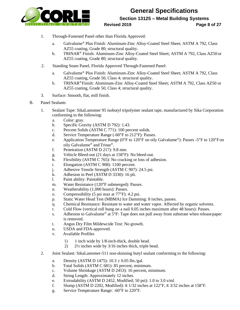

### **General Specifications Section 13125 – Metal Building Systems Revised 2019 Page 8 of 27**

- 1. Through-Fastened Panel other than Florida Approved:
	- a. Galvalume® Plus Finish: Aluminum-Zinc Alloy-Coated Steel Sheet; ASTM A 792, Class AZ55 coating, Grade 80; structural quality.
	- b. TRINAR® Finish: Aluminum-Zinc Alloy-Coated Steel Sheet; ASTM A 792, Class AZ50 or AZ55 coating, Grade 80; structural quality.
- 2. Standing Seam Panel, Florida Approved Through-Fastened Panel:
	- a. Galvalume® Plus Finish: Aluminum-Zinc Alloy-Coated Steel Sheet; ASTM A 792, Class AZ55 coating, Grade 50, Class 4; structural quality.
	- b. TRINAR®Finish: Aluminum-Zinc Alloy-Coated Steel Sheet; ASTM A 792, Class AZ50 or AZ55 coating, Grade 50, Class 4; structural quality.
- 3. Surface: Smooth, flat, mill finish.
- B. Panel Sealants
	- 1. Sealant Tape: SikaLastomer 95 isobutyl tripolymer sealant tape, manufactured by Sika Corporation conforming to the following:
		- a. Color: gray.
		- b. Specific Gravity (ASTM D 792): 1.43.
		- c. Percent Solids (ASTM C 771): 100 percent solids.
		- d. Service Temperature Range (-60°F to 212°F): Passes.
		- e. Application Temperature Range (0°F to 120°F on oily Galvalume®): Passes -5°F to 120°Fon oily Galvalume® and Trinar®.
		- f. Penetration (ASTM D 217): 9.8 mm.
		- g. Vehicle Bleed-out (21 days at 158°F): No bleed-out.
		- h. Flexibility (ASTM C 765): No cracking or loss of adhesion.
		- i. Elongation (ASTM C 908): 1100 percent.
		- j. Adhesive Tensile Strength (ASTM C 907): 24.5 psi.
		- k. Adhesion in Peel (ASTM D 3330): 16 pli.
		- l. Paint ability: Paintable.
		- m. Water Resistance (120°F submerged): Passes.
		- n. Weatherability (1,000 hours): Passes.
		- o. Compressibility (5 psi max at 77°F): 4.2 psi.
		- p. Static Water Head Test (MBMA) Ice Damming: 8 inches, passes.
		- q. Chemical Resistance: Resistant to water and water vapor. Affected by organic solvents.
		- r. Cold Flow (vertical roll hung on a nail 0.05 inches maximum after 48 hours): Passes.
		- s. Adhesion to Galvalume<sup>®</sup> at 5°F: Tape does not pull away from substrate when release paper is removed.
		- t. Angus Dry Film Mildewcide Test: No growth.
		- u. USDA and FDA-approved.
		- v. Available Profiles
			- 1) 1 inch wide by 1/8-inch-thick, double bead.
			- 2) 2½ inches wide by 3/16 inches thick, triple bead.
	- 2. Joint Sealant: SikaLastomer-511 non-skinning butyl sealant conforming to the following:
		- a. Density (ASTM D 1475):  $10.3 \pm 0.05$  lbs./gal.
		- b. Total Solids (ASTM C 681): 85 percent, minimum.
		- c. Volume Shrinkage (ASTM D 2453): 16 percent, minimum.
		- d. String Length: Approximately 12 inches.
		- e. Extrudability (ASTM D 2452, Modified; 50 psi): 1.0 to 3.0 s/ml.
		- f. Slump (ASTM D 2202, Modified):  $\leq 1/32$  inches at 122°F,  $\leq 3/32$  inches at 158°F.
		- g. Service Temperature Range: -60°F to 220°F.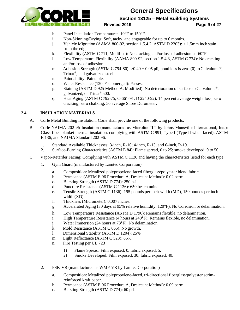

**Section 13125 – Metal Building Systems**

**Revised 2019 Page 9 of 27**

- h. Panel Installation Temperature: -10°F to 150°F.
- i. Non-Skinning/Drying: Soft, tacky, and engageable for up to 6 months.
- j. Vehicle Migration (AAMA 800-92, section 1.5.4.2, ASTM D 2203): < 1.5mm inch stain from the edge.
- k. Flexibility (ASTM C 711, Modified): No cracking and/or loss of adhesion at -60°F.
- l. Low Temperature Flexibility (AAMA 800-92, section 1.5.4.3, ASTM C 734): No cracking and/or loss of adhesion.
- m. Adhesion Strength (ASTM C 794-80):  $>0.40 \pm 0.05$  pli, bond loss is zero (0) to Galvalume<sup>®</sup>, Trinar®, and galvanized steel.
- n. Paint ability: Paintable.
- o. Water Resistance (120°F submerged): Passes.
- p. Staining (ASTM D 925 Method A, Modified): No deterioration of surface to Galvalume®, galvanized, or Trinar® 500.
- q. Heat Aging (ASTM C 792-75, C-661-91, D 2240-92): 14 percent average weight loss; zero cracking; zero chalking; 56 average Shore Durometer.

### **2.4 INSULATION MATERIALS**

- A. Corle Metal Building Insulation: Corle shall provide one of the following products:
- B. Corle NAIMA 202-96 Insulation (manufactured as Microlite "L" by Johns Mansville International, Inc.): Glass-fiber-blanket thermal insulation, complying with ASTM C 991, Type I (Type II when faced); ASTM E 136; and NAIMA Standard 202-96.
	- 1. Standard Available Thicknesses: 3-inch, R-10; 4-inch, R-13, and 6-inch, R-19.
	- 2. Surface-Burning Characteristics (ASTM E 84): Flame spread, 0 to 25; smoke developed, 0 to 50.
- C. Vapor-Retarder Facing: Complying with ASTM C 1136 and having the characteristics listed for each type.
	- 1. Gym Guard (manufactured by Lamtec Corporation)
		- a. Composition: Metalized polypropylene-faced fiberglass/polyester blend fabric.
		- b. Permeance (ASTM E 96 Procedure A, Desiccant Method): 0.02 perm.
		- c. Bursting Strength (ASTM D 774): 250 psi.
		- d. Puncture Resistance (ASTM C 1136): 650 beach units.
		- e. Tensile Strength (ASTM C 1136): 195 pounds per inch-width (MD), 150 pounds per inchwidth (XD).
		- f. Thickness (Micrometer): 0.007 inches.
		- g. Accelerated Aging (30 days at 95% relative humidity, 120°F): No Corrosion or delamination.
		- h. Low Temperature Resistance (ASTM D 1790): Remains flexible, no delamination.
		- i. High Temperature Resistance (4 hours at 240°F): Remains flexible, no delamination.
		- j. Water Immersion (24 hours at 73°F): No delamination.
		- k. Mold Resistance (ASTM C 665): No growth.
		- l. Dimensional Stability (ASTM D 1204): 25%
		- m. Light Reflectance (ASTM C 523): 85%.
		- n. Fire Testing per UL 723
			- 1) Flame Spread: Film exposed, 0; fabric exposed, 5.
			- 2) Smoke Developed: Film exposed, 30; fabric exposed, 40.
	- 2. PSK-VR (manufactured as WMP-VR by Lamtec Corporation)
		- a. Composition: Metalized polypropylene-faced, tri-directional fiberglass/polyester scrimreinforced kraft paper.
		- b. Permeance (ASTM E 96 Procedure A, Desiccant Method): 0.09 perm.
		- c. Bursting Strength (ASTM D 774): 60 psi.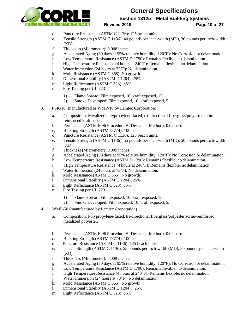

**Section 13125 – Metal Building Systems**

**Revised 2019 Page 10 of 27**

- d. Puncture Resistance (ASTM C 1136): 125 beach units.
- e. Tensile Strength (ASTM C 1136): 40 pounds per inch-width (MD), 30 pounds per inch-width  $(XD)$ .
- f. Thickness (Micrometer): 0.008 inches.
- g. Accelerated Aging (30 days at 95% relative humidity, 120°F): No Corrosion or delamination.
- h. Low Temperature Resistance (ASTM D 1790): Remains flexible, no delamination.
- i. High Temperature Resistance (4 hours at 240°F): Remains flexible, no delamination.
- j. Water Immersion (24 hours at 73°F): No delamination.
- k. Mold Resistance (ASTM C 665): No growth.
- l. Dimensional Stability (ASTM D 1204): 25%
- m. Light Reflectance (ASTM C 523): 85%.
- n. Fire Testing per UL 723
	- 1) Flame Spread: Film exposed, 10; kraft exposed, 15.
	- 2) Smoke Developed: Film exposed, 10; kraft exposed, 5.
- 3. PSK-10 (manufactured as WMP-10 by Lamtec Corporation)
	- a. Composition: Metalized polypropylene-faced, tri-directional fiberglass/polyester scrimreinforced kraft paper.
	- b. Permeance (ASTM E 96 Procedure A, Desiccant Method): 0.02 perm.
	- c. Bursting Strength (ASTM D 774): 100 psi.
	- d. Puncture Resistance (ASTM C 1136): 125 beach units.
	- e. Tensile Strength (ASTM C 1136): 55 pounds per inch-width (MD), 50 pounds per inch-width  $(XD)$ .
	- f. Thickness (Micrometer): 0.009 inches.
	- g. Accelerated Aging (30 days at 95% relative humidity, 120°F): No Corrosion or delamination.
	- h. Low Temperature Resistance (ASTM D 1790): Remains flexible, no delamination.
	- i. High Temperature Resistance (4 hours at 240°F): Remains flexible, no delamination.
	- j. Water Immersion (24 hours at 73°F): No delamination.
	- k. Mold Resistance (ASTM C 665): No growth.
	- l. Dimensional Stability (ASTM D 1204): 25%
	- m. Light Reflectance (ASTM C 523): 85%.
	- n. Fire Testing per UL 723
		- 1) Flame Spread: Film exposed, 10; kraft exposed, 15.
		- 2) Smoke Developed: Film exposed, 10; kraft exposed, 5.
- 4. WMP-50 (manufactured by Lamtec Corporation)
	- a. Composition: Polypropylene-faced, tri-directional fiberglass/polyester scrim-reinforced metalized polyester.
	- b. Permeance (ASTM E 96 Procedure A, Desiccant Method): 0.02 perm.
	- c. Bursting Strength (ASTM D 774): 100 psi.
	- d. Puncture Resistance (ASTM C 1136): 125 beach units.
	- e. Tensile Strength (ASTM C 1136): 55 pounds per inch-width (MD), 50 pounds perinch-width  $(XD)$ .
	- f. Thickness (Micrometer): 0.009 inches.
	- g. Accelerated Aging (30 days at 95% relative humidity, 120°F): No Corrosion or delamination.
	- h. Low Temperature Resistance (ASTM D 1790): Remains flexible, no delamination.
	- i. High Temperature Resistance (4 hours at 240°F): Remains flexible, no delamination.
	- j. Water Immersion (24 hours at 73°F): No delamination.
	- k. Mold Resistance (ASTM C 665): No growth.
	- l. Dimensional Stability (ASTM D 1204): 25%
	- m. Light Reflectance (ASTM C 523): 85%.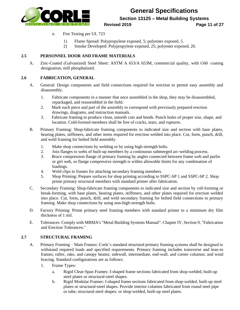

**Section 13125 – Metal Building Systems**

#### **Revised 2019 Page 11 of 27**

- n. Fire Testing per UL 723
	- 1) Flame Spread: Polypropylene exposed, 5; polyester exposed, 5.
	- 2) Smoke Developed: Polypropylene exposed, 25; polyester exposed, 20.

### **2.5 PERSONNEL DOOR AND FRAME MATERIALS**

A. Zinc-Coated (Galvanized) Steel Sheet: ASTM A 653/A 653M, commercial quality, with G60 coating designation; mill phosphatized.

### **2.6 FABRICATION, GENERAL**

- A. General: Design components and field connections required for erection to permit easy assembly and disassembly.
	- 1. Fabricate components in a manner that once assembled in the shop, they may be disassembled, repackaged, and reassembled in the field.
	- 2. Mark each piece and part of the assembly to correspond with previously prepared erection drawings, diagrams, and instruction manuals.
	- 3. Fabricate framing to produce clean, smooth cuts and bends. Punch holes of proper size, shape, and location. Cold-formed members shall be free of cracks, tears, and ruptures.
- B. Primary Framing: Shop-fabricate framing components to indicated size and section with base plates, bearing plates, stiffeners, and other items required for erection welded into place. Cut, form, punch, drill, and weld framing for bolted field assembly.
	- 1. Make shop connections by welding or by using high-strength bolts.
	- 2. Join flanges to webs of built-up members by a continuous submerged arc-welding process.
	- 3. Brace compression flange of primary framing by angles connected between frame web and purlin or girt web, so flange compressive strength is within allowable limits for any combination of loadings.
	- 4. Weld clips to frames for attaching secondary framing members.
	- 5. Shop Priming: Prepare surfaces for shop priming according to SSPC-SP 1 and SSPC-SP 2. Shop prime primary structural members with standard primer after fabrication.
- C. Secondary Framing: Shop-fabricate framing components to indicated size and section by roll-forming or break-forming, with base plates, bearing plates, stiffeners, and other plates required for erection welded into place. Cut, form, punch, drill, and weld secondary framing for bolted field connections to primary framing. Make shop connections by using non-high-strength bolts.
- D. Factory Priming: Prime primary steel framing members with standard primer to a minimum dry film thickness of 1 mil.
- E. Tolerances: Comply with MBMA's "Metal Building Systems Manual": Chapter IV, Section 9, "Fabrication and Erection Tolerances."

### **2.7 STRUCTURAL FRAMING**

- A. Primary Framing Main Frames: Corle's standard structural primary framing systems shall be designed to withstand required loads and specified requirements. Primary framing includes transverse and lean-to frames; rafter, rake, and canopy beams; sidewall, intermediate, end-wall, and corner columns; and wind bracing. Standard configurations are as follows:
	- 1. Frame Types:
		- a. Rigid Clear-Span Frames: I-shaped frame sections fabricated from shop-welded, built-up steel plates or structural-steel shapes.
		- b. Rigid Modular Frames: I-shaped frame sections fabricated from shop-welded, built-up steel plates or structural-steel shapes. Provide interior columns fabricated from round steel pipe or tube; structural-steel shapes; or shop-welded, built-up steel plates.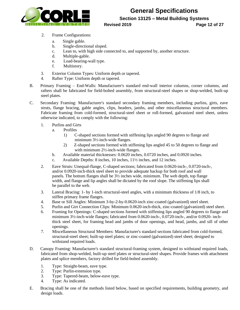

**Section 13125 – Metal Building Systems**

#### **Revised 2019 Page 12 of 27**

- 2. Frame Configurations:
	- a. Single gable.
	- b. Single-directional sloped.
	- c. Lean to, with high side connected to, and supported by, another structure.
	- d. Multiple-gable.
	- e. Load-bearing-wall type.
	- f. Multistory.
- 3. Exterior Column Types: Uniform depth or tapered.
- 4. Rafter Type: Uniform depth or tapered.
- B. Primary Framing End-Walls: Manufacturer's standard end-wall interior columns, corner columns, and rafters shall be fabricated for field-bolted assembly, from structural-steel shapes or shop-welded, built-up steel plates.
- C. Secondary Framing: Manufacturer's standard secondary framing members, including purlins, girts, eave struts, flange bracing, gable angles, clips, headers, jambs, and other miscellaneous structural members. Fabricate framing from cold-formed, structural-steel sheet or roll-formed, galvanized steel sheet, unless otherwise indicated, to comply with the following:
	- 1. Purlins and Girts
		- a. Profiles
			- 1) C-shaped sections formed with stiffening lips angled 90 degrees to flange and minimum 3½-inch-wide flanges.
			- 2) Z-shaped sections formed with stiffening lips angled 45 to 50 degrees to flange and with minimum 2<sup>1</sup>/<sub>2</sub>-inch-wide flanges.
		- b. Available material thicknesses: 0.0620 inches, 0.0720 inches, and 0.0920 inches.
		- c. Available Depths: 8 inches, 10 inches, 11½ inches, and 12 inches.
	- 2. Eave Struts: Unequal-flange, C-shaped sections; fabricated from 0.0620-inch-, 0.0720-inch-, and/or 0.0920-inch-thick steel sheet to provide adequate backup for both roof and wall panels. The bottom flanges shall be 3½ inches wide, minimum. The web depth, top flange width, and flange and lip angles shall be dictated by the roof slope. The stiffening lips shall be parallel to the web.
	- 3. Lateral Bracing: 1- by 1-inch structural-steel angles, with a minimum thickness of 1/8 inch, to stiffen primary frame flanges.
	- 4. Base or Sill Angles: Minimum 3-by-2-by-0.0620-inch zinc-coated (galvanized) steel sheet.
	- 5. Purlin and Girt Connection Clips: Minimum 0.0620-inch-thick, zinc-coated (galvanized) steel sheet.
	- 6. Framing for Openings: C-shaped sections formed with stiffening lips angled 90 degrees to flange and minimum 3½-inch-wide flanges; fabricated from 0.0620-inch-, 0.0720-inch-, and/or 0.0920- inchthick steel sheet, for framing head and jambs of door openings, and head, jambs, and sill of other openings.
	- 7. Miscellaneous Structural Members: Manufacturer's standard sections fabricated from cold-formed, structural-steel sheet; built-up steel plates; or zinc-coated (galvanized) steel sheet; designed to withstand required loads.
- D. Canopy Framing: Manufacturer's standard structural-framing system, designed to withstand required loads, fabricated from shop-welded, built-up steel plates or structural-steel shapes. Provide frames with attachment plates and splice members, factory drilled for field-bolted assembly.
	- 1. Type: Straight-beam, eave type.
	- 2. Type: Purlin-extension type.
	- 3. Type: Tapered-beam, below-eave type.
	- 4. Type: As indicated.
- E. Bracing shall be one of the methods listed below, based on specified requirements, building geometry, and design loads.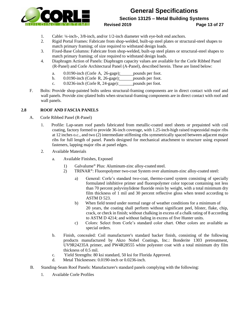

### **General Specifications Section 13125 – Metal Building Systems Revised 2019 Page 13 of 27**

- 1. Cable: ¼-inch-, 3/8-inch, and/or 1/2-inch diameter with eye-bolt end anchors.
- 2. Rigid Portal Frames: Fabricate from shop-welded, built-up steel plates or structural-steel shapes to match primary framing; of size required to withstand design loads.
- 3. Fixed-Base Columns: Fabricate from shop-welded, built-up steel plates or structural-steel shapes to match primary framing; of size required to withstand design loads.
- 4. Diaphragm Action of Panels: Diaphragm capacity values are available for the Corle Ribbed Panel (R-Panel) and Corle Architectural Panel (A-Panel), described herein. These are listed below:
	- a. 0.0190-inch (Corle A, 26-gage): pounds per foot.
	- b. 0.0190-inch (Corle R, 26-gage): pounds per foot.
	- c. 0.0236-inch (Corle R, 24-gage): pounds per foot.
- F. Bolts: Provide shop-painted bolts unless structural-framing components are in direct contact with roof and wall panels. Provide zinc-plated bolts when structural-framing components are in direct contact with roof and wall panels.

### **2.8 ROOF AND FASCIA PANELS**

- A. Corle Ribbed Panel (R-Panel)
	- 1. Profile: Lap-seam roof panels fabricated from metallic-coated steel sheets or prepainted with coil coating, factory formed to provide 36-inch coverage, with 1.25-inch-high raised trapezoidal major ribs at 12 inches o.c., and two (2) intermediate stiffening ribs symmetrically spaced between adjacent major ribs for full length of panel. Panels designed for mechanical attachment to structure using exposed fasteners, lapping major ribs at panel edges.
	- 2. Available Materials
		- a. Available Finishes, Exposed
			- 1) Galvalume® Plus: Aluminum-zinc alloy-coated steel.
			- 2) TRINAR®: Fluoropolymer two-coat System over aluminum-zinc alloy-coated steel:
				- a) General: Corle's standard two-coat, thermo-cured system consisting of specially formulated inhibitive primer and fluoropolymer color topcoat containing not less than 70 percent polyvinylidene fluoride resin by weight, with a total minimum dry film thickness of 1 mil and 30 percent reflective gloss when tested according to ASTM D 523.
				- b) When field tested under normal range of weather conditions for a minimum of 20 years, the coating shall perform without significant peel, blister, flake, chip, crack, or check in finish; without chalking in excess of a chalk rating of 8 according to ASTM D 4214; and without fading in excess of five Hunter units.
				- c) Colors: Select from Corle's standard color chart. Other colors are available as special orders.
		- b. Finish, concealed: Coil manufacturer's standard backer finish, consisting of the following products manufactured by Akzo Nobel Coatings, Inc.: Bonderite 1303 pretreatment, UV9R24235A primer, and PW4R28555 white polyester coat with a total minimum dry film thickness of 0.5 mil.
		- c. Yield Strengths: 80 ksi standard, 50 ksi for Florida Approved.
		- d. Metal Thicknesses: 0.0190-inch or 0.0236-inch.
- B. Standing-Seam Roof Panels: Manufacturer's standard panels complying with the following:
	- 1. Available Corle Profiles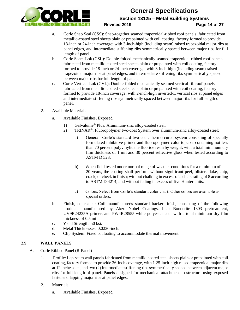

**Section 13125 – Metal Building Systems**

### **Revised 2019 Page 14 of 27**

- a. Corle Snap Seal (CSS): Snap-together seamed trapezoidal-ribbed roof panels, fabricated from metallic-coated steel sheets plain or prepainted with coil coating, factory formed to provide 18-inch or 24-inch coverage; with 3-inch-high (including seam) raised trapezoidal major ribs at panel edges, and intermediate stiffening ribs symmetrically spaced between major ribs for full length of panel.
- b. Corle Seam-Lok (CSL): Double-folded mechanically seamed trapezoidal-ribbed roof panels fabricated from metallic-coated steel sheets plain or prepainted with coil coating, factory formed to provide 18-inch or 24-inch coverage; with 3-inch-high (including seam) raised trapezoidal major ribs at panel edges, and intermediate stiffening ribs symmetrically spaced between major ribs for full length of panel.
- c. Corle Vertical-Lok (CVL): Double-folded mechanically seamed vertical-rib roof panels fabricated from metallic-coated steel sheets plain or prepainted with coil coating, factory formed to provide 18-inch coverage; with 2-inch-high inverted-L vertical ribs at panel edges and intermediate stiffening ribs symmetrically spaced between major ribs for full length of panel.
- 2. Available Materials
	- a. Available Finishes, Exposed
		- 1) Galvalume® Plus: Aluminum-zinc alloy-coated steel.
		- 2) TRINAR®: Fluoropolymer two-coat System over aluminum-zinc alloy-coated steel:
			- a) General: Corle's standard two-coat, thermo-cured system consisting of specially formulated inhibitive primer and fluoropolymer color topcoat containing not less than 70 percent polyvinylidene fluoride resin by weight, with a total minimum dry film thickness of 1 mil and 30 percent reflective gloss when tested according to ASTM D 523.
			- b) When field tested under normal range of weather conditions for a minimum of 20 years, the coating shall perform without significant peel, blister, flake, chip, crack, or check in finish; without chalking in excess of a chalk rating of 8 according to ASTM D 4214; and without fading in excess of five Hunter units.
			- c) Colors: Select from Corle's standard color chart. Other colors are available as special orders.
	- b. Finish, concealed: Coil manufacturer's standard backer finish, consisting of the following products manufactured by Akzo Nobel Coatings, Inc.: Bonderite 1303 pretreatment, UV9R24235A primer, and PW4R28555 white polyester coat with a total minimum dry film thickness of 0.5 mil.
	- c. Yield Strength: 50 ksi.
	- d. Metal Thicknesses: 0.0236-inch.
	- e. Clip System: Fixed or floating to accommodate thermal movement.

### **2.9 WALL PANELS**

- A. Corle Ribbed Panel (R-Panel)
	- 1. Profile: Lap-seam wall panels fabricated from metallic-coated steel sheets plain or prepainted with coil coating, factory formed to provide 36-inch coverage, with 1.25-inch-high raised trapezoidal major ribs at 12 inches o.c., and two (2) intermediate stiffening ribs symmetrically spaced between adjacent major ribs for full length of panel. Panels designed for mechanical attachment to structure using exposed fasteners, lapping major ribs at panel edges.
	- 2. Materials
		- a. Available Finishes, Exposed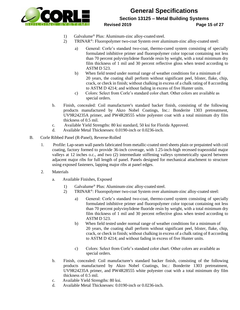

### **General Specifications Section 13125 – Metal Building Systems Revised 2019 Page 15 of 27**

- 1) Galvalume® Plus: Aluminum-zinc alloy-coated steel.
- 2) TRINAR®: Fluoropolymer two-coat System over aluminum-zinc alloy-coated steel:
	- a) General: Corle's standard two-coat, thermo-cured system consisting of specially formulated inhibitive primer and fluoropolymer color topcoat containing not less than 70 percent polyvinylidene fluoride resin by weight, with a total minimum dry film thickness of 1 mil and 30 percent reflective gloss when tested according to ASTM D 523.
	- b) When field tested under normal range of weather conditions for a minimum of 20 years, the coating shall perform without significant peel, blister, flake, chip, crack, or check in finish; without chalking in excess of a chalk rating of 8 according to ASTM D 4214; and without fading in excess of five Hunter units.
	- c) Colors: Select from Corle's standard color chart. Other colors are available as special orders.
- b. Finish, concealed: Coil manufacturer's standard backer finish, consisting of the following products manufactured by Akzo Nobel Coatings, Inc.: Bonderite 1303 pretreatment, UV9R24235A primer, and PW4R28555 white polyester coat with a total minimum dry film thickness of 0.5 mil.
- c. Available Yield Strengths: 80 ksi standard, 50 ksi for Florida Approved.
- d. Available Metal Thicknesses: 0.0190-inch or 0.0236-inch.
- B. Corle Ribbed Panel (R-Panel), Reverse-Rolled
	- 1. Profile: Lap-seam wall panels fabricated from metallic-coated steel sheets plain or prepainted with coil coating, factory formed to provide 36-inch coverage, with 1.25-inch-high recessed trapezoidal major valleys at 12 inches o.c., and two (2) intermediate stiffening valleys symmetrically spaced between adjacent major ribs for full length of panel. Panels designed for mechanical attachment to structure using exposed fasteners, lapping major ribs at panel edges.
	- 2. Materials
		- a. Available Finishes, Exposed
			- 1) Galvalume® Plus: Aluminum-zinc alloy-coated steel.
			- 2) TRINAR®: Fluoropolymer two-coat System over aluminum-zinc alloy-coated steel:
				- a) General: Corle's standard two-coat, thermo-cured system consisting of specially formulated inhibitive primer and fluoropolymer color topcoat containing not less than 70 percent polyvinylidene fluoride resin by weight, with a total minimum dry film thickness of 1 mil and 30 percent reflective gloss when tested according to ASTM D 523.
				- b) When field tested under normal range of weather conditions for a minimum of 20 years, the coating shall perform without significant peel, blister, flake, chip, crack, or check in finish; without chalking in excess of a chalk rating of 8 according to ASTM D 4214; and without fading in excess of five Hunter units.
				- c) Colors: Select from Corle's standard color chart. Other colors are available as special orders.
		- b. Finish, concealed: Coil manufacturer's standard backer finish, consisting of the following products manufactured by Akzo Nobel Coatings, Inc.: Bonderite 1303 pretreatment, UV9R24235A primer, and PW4R28555 white polyester coat with a total minimum dry film thickness of 0.5 mil.
		- c. Available Yield Strengths: 80 ksi.
		- d. Available Metal Thicknesses: 0.0190-inch or 0.0236-inch.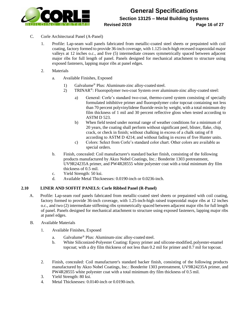

- C. Corle Architectural Panel (A-Panel)
	- 1. Profile: Lap-seam wall panels fabricated from metallic-coated steel sheets or prepainted with coil coating, factory formed to provide 36-inch coverage, with 1.125-inch-high recessed trapezoidal major valleys at 12 inches o.c., and five (5) intermediate creases symmetrically spaced between adjacent major ribs for full length of panel. Panels designed for mechanical attachment to structure using exposed fasteners, lapping major ribs at panel edges.
	- 2. Materials
		- a. Available Finishes, Exposed
			- 1) Galvalume® Plus: Aluminum-zinc alloy-coated steel.
			- 2) TRINAR®: Fluoropolymer two-coat System over aluminum-zinc alloy-coated steel:
				- a) General: Corle's standard two-coat, thermo-cured system consisting of specially formulated inhibitive primer and fluoropolymer color topcoat containing not less than 70 percent polyvinylidene fluoride resin by weight, with a total minimum dry film thickness of 1 mil and 30 percent reflective gloss when tested according to ASTM D 523.
				- b) When field tested under normal range of weather conditions for a minimum of 20 years, the coating shall perform without significant peel, blister, flake, chip, crack, or check in finish; without chalking in excess of a chalk rating of 8 according to ASTM D 4214; and without fading in excess of five Hunter units.
				- c) Colors: Select from Corle's standard color chart. Other colors are available as special orders.
		- b. Finish, concealed: Coil manufacturer's standard backer finish, consisting of the following products manufactured by Akzo Nobel Coatings, Inc.: Bonderite 1303 pretreatment, UV9R24235A primer, and PW4R28555 white polyester coat with a total minimum dry film thickness of 0.5 mil.
		- c. Yield Strength: 50 ksi.
		- d. Available Metal Thicknesses: 0.0190-inch or 0.0236-inch.

### **2.10 LINER AND SOFFIT PANELS: Corle Ribbed Panel (R-Panel)**

- A. Profile: Lap-seam roof panels fabricated from metallic-coated steel sheets or prepainted with coil coating, factory formed to provide 36-inch coverage, with 1.25-inch-high raised trapezoidal major ribs at 12 inches o.c., and two (2) intermediate stiffening ribs symmetrically spaced between adjacent major ribs for full length of panel. Panels designed for mechanical attachment to structure using exposed fasteners, lapping major ribs at panel edges.
- B. Available Materials
	- 1. Available Finishes, Exposed
		- a. Galvalume® Plus: Aluminum-zinc alloy-coated steel.
		- b. White Siliconized-Polyester Coating: Epoxy primer and silicone-modified, polyester-enamel topcoat; with a dry film thickness of not less than 0.2 mil for primer and 0.7 mil for topcoat.
	- 2. Finish, concealed: Coil manufacturer's standard backer finish, consisting of the following products manufactured by Akzo Nobel Coatings, Inc.: Bonderite 1303 pretreatment, UV9R24235A primer, and PW4R28555 white polyester coat with a total minimum dry film thickness of 0.5 mil.
	- 3. Yield Strength: 80 ksi.
	- 4. Metal Thicknesses: 0.0140-inch or 0.0190-inch.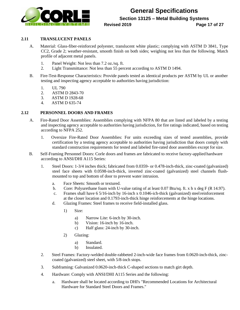

**Section 13125 – Metal Building Systems**

### **Revised 2019 Page 17 of 27**

### **2.11 TRANSLUCENT PANELS**

- A. Material: Glass-fiber-reinforced polyester, translucent white plastic; complying with ASTM D 3841, Type CC2, Grade 2; weather-resistant, smooth finish on both sides; weighing not less than the following. Match profile of adjacent metal panels.
	- 1. Panel Weight: Not less than 7.2 oz./sq. ft.
	- 2. Light Transmittance: Not less than 55 percent according to ASTM D 1494.
- B. Fire-Test-Response Characteristics: Provide panels tested as identical products per ASTM by UL or another testing and inspecting agency acceptable to authorities having jurisdiction:
	- 1. UL 790
	- 2. ASTM D 2843-70
	- 3. ASTM D 1928-68
	- 4. ASTM D 635-74

### **2.12 PERSONNEL DOORS AND FRAMES**

- A. Fire-Rated Door Assemblies: Assemblies complying with NFPA 80 that are listed and labeled by a testing and inspecting agency acceptable to authorities having jurisdiction, for fire ratings indicated, based on testing according to NFPA 252.
	- 1. Oversize Fire-Rated Door Assemblies: For units exceeding sizes of tested assemblies, provide certification by a testing agency acceptable to authorities having jurisdiction that doors comply with standard construction requirements for tested and labeled fire-rated door assemblies except forsize.
- B. Self-Framing Personnel Doors: Corle doors and frames are fabricated to receive factory-applied hardware according to ANSI/DHI A115 Series:
	- 1. Steel Doors: 1-3/4 inches thick; fabricated from 0.0359- or 0.478-inch-thick, zinc-coated (galvanized) steel face sheets with 0.0598-inch-thick, inverted zinc-coated (galvanized) steel channels flushmounted to top and bottom of door to prevent water intrusion.
		- a. Face Sheets: Smooth or textured.
		- b. Core: Polyurethane foam with U-value rating of at least 0.07 Btu/sq. ft. x h x deg F (R 14.97).
		- c. Frames shall have 6 5/16-inch by 16-inch x 0.1046-ich-thick (galvanized) steelreinforcement at the closer location and 0.1793-inch-thick hinge reinforcements at the hinge locations.
		- d. Glazing Frames: Steel frames to receive field-installed glass.
			- 1) Size:
				- a) Narrow Lite: 6-inch by 30-inch.
				- b) Vision: 16-inch by 16-inch.
				- c) Half glass: 24-inch by 30-inch.
			- 2) Glazing:
				- a) Standard.
				- b) Insulated.
	- 2. Steel Frames: Factory-welded double-rabbeted 2-inch-wide face frames from 0.0620-inch-thick, zinccoated (galvanized) steel sheet, with 5/8-inch stops.
	- 3. Subframing: Galvanized 0.0620-inch-thick C-shaped sections to match girt depth.
	- 4. Hardware: Comply with ANSI/DHI A115 Series and the following:
		- a. Hardware shall be located according to DHI's "Recommended Locations for Architectural Hardware for Standard Steel Doors and Frames."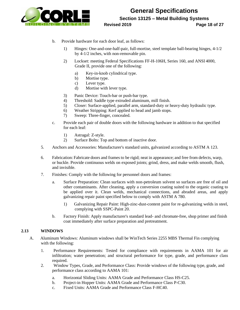

**General Specifications Section 13125 – Metal Building Systems Revised 2019 Page 18 of 27**

- b. Provide hardware for each door leaf, as follows:
	- 1) Hinges: One-and-one-half-pair, full-mortise, steel template ball-bearing hinges, 4-1/2 by 4-1/2 inches, with non-removable pin.
	- 2) Lockset: meeting Federal Specifications FF-H-106H, Series 160, and ANSI 4000, Grade II, provide one of the following:
		- a) Key-in-knob cylindrical type.
		- b) Mortise type.
		- c) Lever type.
		- d) Mortise with lever type.
	- 3) Panic Device: Touch-bar or push-bar type.
	- 4) Threshold: Saddle type extruded aluminum, mill finish.
	- 5) Closer: Surface-applied, parallel arm, standard-duty or heavy-duty hydraulic type.
	- 6) Weather Stripping: Kerf applied to head and jamb stops.
	- 7) Sweep: Three-finger, concealed.
- c. Provide each pair of double doors with the following hardware in addition to that specified for each leaf:
	- 1) Astragal: Z-style.
	- 2) Surface Bolts: Top and bottom of inactive door.
- 5. Anchors and Accessories: Manufacturer's standard units, galvanized according to ASTM A 123.
- 6. Fabrication: Fabricate doors and frames to be rigid; neat in appearance; and free from defects, warp, or buckle. Provide continuous welds on exposed joints; grind, dress, and make welds smooth, flush, and invisible.
- 7. Finishes: Comply with the following for personnel doors and frames:
	- a. Surface Preparation: Clean surfaces with non-petroleum solvent so surfaces are free of oil and other contaminants. After cleaning, apply a conversion coating suited to the organic coating to be applied over it. Clean welds, mechanical connections, and abraded areas, and apply galvanizing repair paint specified below to comply with ASTM A 780.
		- 1) Galvanizing Repair Paint: High-zinc-dust-content paint for re-galvanizing welds in steel, complying with SSPC-Paint 20.
	- b. Factory Finish: Apply manufacturer's standard lead- and chromate-free, shop primer and finish coat immediately after surface preparation and pretreatment.

#### **2.13 WINDOWS**

- A. Aluminum Windows: Aluminum windows shall be WinTech Series 2255 MBS Thermal Fin complying with the following:
	- 1. Performance Requirements: Tested for compliance with requirements in AAMA 101 for air infiltration; water penetration; and structural performance for type, grade, and performance class required.
	- 2. Window Types, Grade, and Performance Class: Provide windows of the following type, grade, and performance class according to AAMA 101:
		- a. Horizontal Sliding Units: AAMA Grade and Performance Class HS-C25.
		- b. Project-in Hopper Units: AAMA Grade and Performance Class P-C30.
		- c. Fixed Units: AAMA Grade and Performance Class F-HC40.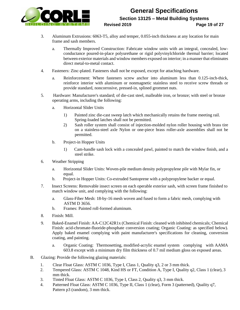

### **General Specifications Section 13125 – Metal Building Systems Revised 2019 Page 19 of 27**

- 3. Aluminum Extrusions: 6063-T5, alloy and temper, 0.055-inch thickness at any location for main frame and sash members.
	- a. Thermally Improved Construction: Fabricate window units with an integral, concealed, lowconductance poured-in-place polyurethane or rigid polyvinylchloride thermal barrier; located between exterior materials and window members exposed on interior; in a manner that eliminates direct metal-to-metal contact.
- 4. Fasteners: Zinc-plated. Fasteners shall not be exposed, except for attaching hardware.
	- a. Reinforcement: Where fasteners screw anchor into aluminum less than 0.125-inch-thick, reinforce interior with aluminum or nonmagnetic stainless steel to receive screw threads or provide standard, noncorrosive, pressed-in, splined grommet nuts.
- 5. Hardware: Manufacturer's standard; of die-cast steel, malleable iron, or bronze; with steel or bronze operating arms, including the following:
	- a. Horizontal Slider Units
		- 1) Painted zinc die-cast sweep latch which mechanically retains the frame meeting rail. Spring-loaded latches shall not be permitted.
		- 2) Sash roller system shall consist of injection-molded nylon roller housing with brass tire on a stainless-steel axle Nylon or one-piece brass roller-axle assemblies shall not be permitted.
	- b. Project-in Hopper Units
		- 1) Cam-handle sash lock with a concealed pawl, painted to match the window finish, and a steel strike.
- 6. Weather Stripping
	- a. Horizontal Slider Units: Woven-pile medium density polypropylene pile with Mylar fin, or equal.
	- b. Project-in Hopper Units: Co-extruded Santoprene with a polypropylene backer or equal.
- 7. Insect Screens: Removable insect screen on each operable exterior sash, with screen frame finished to match window unit, and complying with the following:
	- a. Glass-Fiber Mesh: 18-by-16 mesh woven and fused to form a fabric mesh, complying with ASTM D 3656.
	- b. Frames: Painted roll-formed aluminum.
- 8. Finish: Mill.
- 9. Baked-Enamel Finish: AA-C12C42R1x (Chemical Finish: cleaned with inhibited chemicals; Chemical Finish: acid-chromate-fluoride-phosphate conversion coating; Organic Coating: as specified below). Apply baked enamel complying with paint manufacturer's specifications for cleaning, conversion coating, and painting.
	- a. Organic Coating: Thermosetting, modified-acrylic enamel system complying with AAMA 603.8 except with a minimum dry film thickness of 0.7 mil medium gloss on exposed areas.
- B. Glazing: Provide the following glazing materials:
	- 1. Clear Float Glass: ASTM C 1036, Type I, Class 1, Quality q3, 2 or 3 mm thick.
	- 2. Tempered Glass: ASTM C 1048, Kind HS or FT, Condition A, Type I, Quality q2, Class 1 (clear), 3 mm thick.
	- 3. Tinted Float Glass: ASTM C 1036, Type I, Class 2, Quality q3, 3 mm thick.
	- 4. Patterned Float Glass: ASTM C 1036, Type II, Class 1 (clear), Form 3 (patterned), Quality q7, Pattern p3 (random), 3 mm thick.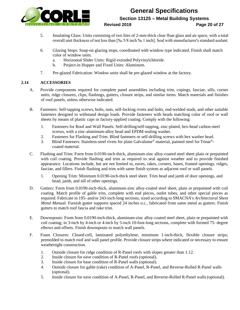

### **General Specifications Section 13125 – Metal Building Systems**

#### **Revised 2019 Page 20 of 27**

- 5. Insulating Glass: Units consisting of two lites of 2-mm-thick clear float glass and air space, with a total overall unit thickness of not less than [‰ 5/8 inch ‰ 1 inch]. Seal with manufacturer's standard sealant.
- 6. Glazing Stops: Snap-on glazing stops, coordinated with window type indicated. Finish shall match color of window units.
	- a. Horizontal Slider Units: Rigid extruded Polyvinylchloride.
	- b. Project-in Hopper and Fixed Units: Aluminum.
- 7. Pre-glazed Fabrication: Window units shall be pre-glazed window at the factory.

### **2.14 ACCESSORIES**

- A. Provide components required for complete panel assemblies including trim, copings, fasciae, sills, corner units, ridge closures, clips, flashings, gutters, closure strips, and similar items. Match materials and finishes of roof panels, unless otherwise indicated.
- B. Fasteners: Self-tapping screws, bolts, nuts, self-locking rivets and bolts, end-welded studs, and other suitable fasteners designed to withstand design loads. Provide fasteners with heads matching color of roof or wall sheets by means of plastic caps or factory-applied coating. Comply with the following:
	- 1. Fasteners for Roof and Wall Panels: Self-drilling/self-tapping, zinc-plated, hex-head carbon-steel screws, with a zinc-aluminum-alloy head and EPDM sealing washer.
	- 2. Fasteners for Flashing and Trim: Blind fasteners or self-drilling screws with hex washer head.
	- 3. Blind Fasteners: Stainless-steel rivets for plain Galvalume® material, painted steel for Trinar® coated material.
- C. Flashing and Trim: Form from 0.0190-inch-thick, aluminum-zinc alloy-coated steel sheet plain or prepainted with coil coating. Provide flashing and trim as required to seal against weather and to provide finished appearance. Locations include, but are not limited to, eaves, rakes, corners, bases, framed openings, ridges, fasciae, and fillers. Finish flashing and trim with same finish system as adjacent roof or wall panels.
	- 1. Opening Trim: Minimum 0.0190-inch-thick steel sheet. Trim head and jamb of door openings, and head, jamb, and sill of other openings.
- D. Gutters: Form from 0.0190-inch-thick, aluminum-zinc alloy-coated steel sheet, plain or prepainted with coil coating. Match profile of gable trim, complete with end pieces, outlet tubes, and other special pieces as required. Fabricate in 195- and/or 243-inch-long sections, sized according to SMACNA's *Architectural Sheet Metal Manual*. Furnish gutter supports spaced 24 inches o.c., fabricated from same metal as gutters. Finish gutters to match roof fascia and rake trim.
- E. Downspouts: Form from 0.0190-inch-thick, aluminum-zinc alloy-coated steel sheet, plain or prepainted with coil coating; in 3-inch by 4-inch or 4-inch by 5-inch 10-foot-long sections, complete with formed 75- degree elbows and offsets. Finish downspouts to match wall panels.
- F. Foam Closures: Closed-cell, laminated polyethylene; minimum 1-inch-thick, flexible closure strips; premolded to match roof and wall panel profile. Provide closure strips where indicated or necessary to ensure weathertight construction.
	- 1. Outside closure for ridge condition of R-Panel roofs with slopes greater than 1:12.
	- 2. Inside closure for eave condition of R-Panel roofs(optional).
	- 3. Inside closure for base condition of R-Panel walls (optional).
	- 4. Outside closure for gable (rake) condition of A-Panel, R-Panel, and Reverse-Rolled R-Panel walls (optional).
	- 5. Inside closure for eave condition of A-Panel, R-Panel, and Reverse-Rolled R-Panel walls (optional).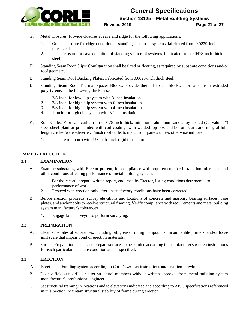

### **General Specifications Section 13125 – Metal Building Systems Revised 2019 Page 21 of 27**

- G. Metal Closures: Provide closures at eave and ridge for the following applications:
	- 1. Outside closure for ridge condition of standing seam roof systems, fabricated from 0.0239-inchthick steel.
	- 2. Inside closure for eave condition of standing seam roof systems, fabricated from 0.0478-inch-thick steel.
- H. Standing Seam Roof Clips: Configuration shall be fixed or floating, as required by substrate conditions and/or roof geometry.
- I. Standing Seam Roof Backing Plates: Fabricated from 0.0620-inch thick steel.
- J. Standing Seam Roof Thermal Spacer Blocks: Provide thermal spacer blocks; fabricated from extruded polystyrene, in the following thicknesses.
	- 1. 3/8-inch: for low clip system with 3-inch insulation.
	- 2. 3/8-inch: for high clip system with 6-inch insulation.
	- 3. 5/8-inch: for high clip system with 4-inch insulation.
	- 4. 1-inch: for high clip system with 3-inch insulation.
- K. Roof Curbs: Fabricate curbs from 0.0478-inch-thick, minimum, aluminum-zinc alloy-coated (Galvalume®) steel sheet plain or prepainted with coil coating; with welded top box and bottom skirt, and integral fulllength cricket/water-diverter. Finish roof curbs to match roof panels unless otherwise indicated.
	- 1. Insulate roof curb with 1½-inch-thick rigid insulation.

### **PART 3 - EXECUTION**

#### **3.1 EXAMINATION**

- A. Examine substrates, with Erector present, for compliance with requirements for installation tolerances and other conditions affecting performance of metal building system.
	- 1. For the record, prepare written report, endorsed by Erector, listing conditions detrimental to performance of work.
	- 2. Proceed with erection only after unsatisfactory conditions have been corrected.
- B. Before erection proceeds, survey elevations and locations of concrete and masonry bearing surfaces, base plates, and anchor bolts to receive structural framing. Verify compliance with requirements and metal building system manufacturer's tolerances.
	- 1. Engage land surveyor to perform surveying.

#### **3.2 PREPARATION**

- A. Clean substrates of substances, including oil, grease, rolling compounds, incompatible primers, and/or loose mill scale that impair bond of erection materials.
- B. Surface Preparation: Clean and prepare surfaces to be painted according to manufacturer's written instructions for each particular substrate condition and as specified.

#### **3.3 ERECTION**

- A. Erect metal building system according to Corle's written instructions and erection drawings.
- B. Do not field cut, drill, or alter structural members without written approval from metal building system manufacturer's professional engineer.
- C. Set structural framing in locations and to elevations indicated and according to AISC specifications referenced in this Section. Maintain structural stability of frame during erection.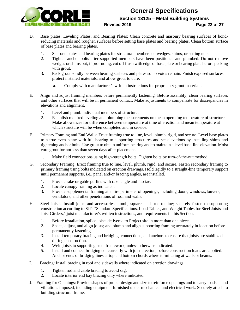

### **General Specifications Section 13125 – Metal Building Systems Revised 2019 Page 22 of 27**

- D. Base plates, Leveling Plates, and Bearing Plates: Clean concrete and masonry bearing surfaces of bondreducing materials and roughen surfaces before setting base plates and bearing plates. Clean bottom surface of base plates and bearing plates.
	- 1. Set base plates and bearing plates for structural members on wedges, shims, or setting nuts.
	- 2. Tighten anchor bolts after supported members have been positioned and plumbed. Do not remove wedges or shims but, if protruding, cut off flush with edge of base plate or bearing plate before packing with grout.
	- 3. Pack grout solidly between bearing surfaces and plates so no voids remain. Finish exposed surfaces, protect installed materials, and allow grout to cure.
		- a. Comply with manufacturer's written instructions for proprietary grout materials.
- E. Align and adjust framing members before permanently fastening. Before assembly, clean bearing surfaces and other surfaces that will be in permanent contact. Make adjustments to compensate for discrepancies in elevations and alignment.
	- 1. Level and plumb individual members of structure.
	- 2. Establish required leveling and plumbing measurements on mean operating temperature of structure. Make allowances for difference between temperature at time of erection and mean temperature at which structure will be when completed and in service.
- F. Primary Framing and End Walls: Erect framing true to line, level, plumb, rigid, and secure. Level base plates to a true even plane with full bearing to supporting structures and set elevations by installing shims and tightening anchor bolts. Use grout to obtain uniform bearing and to maintain a level base-line elevation. Moist cure grout for not less than seven days after placement.
	- 1. Make field connections using high-strength bolts. Tighten bolts by turn-of-the-nut method.
- G. Secondary Framing: Erect framing true to line, level, plumb, rigid, and secure. Fasten secondary framing to primary framing using bolts indicated on erection drawings. Hold rigidly to a straight-line temporary support until permanent supports, i.e., panel and/or bracing angles, are installed.
	- 1. Provide rake or gable purlins with rake angle and fasciae.
	- 2. Locate canopy framing as indicated.
	- 3. Provide supplemental framing at entire perimeter of openings, including doors, windows,louvers, ventilators, and other penetrations of roof and walls.
- H. Steel Joists: Install joists and accessories plumb, square, and true to line; securely fasten to supporting construction according to SJI's "Standard Specifications, Load Tables, and Weight Tables for Steel Joists and Joist Girders," joist manufacturer's written instructions, and requirements in this Section.
	- 1. Before installation, splice joists delivered to Project site in more than one piece.
	- 2. Space, adjust, and align joists; and plumb and align supporting framing accurately in location before permanently fastening.
	- 3. Install temporary bracing and bridging, connections, and anchors to ensure that joists are stabilized during construction.
	- 4. Weld joists to supporting steel framework, unless otherwise indicated.
	- 5. Install and connect bridging concurrently with joist erection, before construction loads are applied. Anchor ends of bridging lines at top and bottom chords where terminating at walls or beams.
- I. Bracing: Install bracing in roof and sidewalls where indicated on erection drawings.
	- 1. Tighten rod and cable bracing to avoid sag.
	- 2. Locate interior end bay bracing only where indicated.
- J. Framing for Openings: Provide shapes of proper design and size to reinforce openings and to carry loads and vibrations imposed, including equipment furnished under mechanical and electrical work. Securely attach to building structural frame.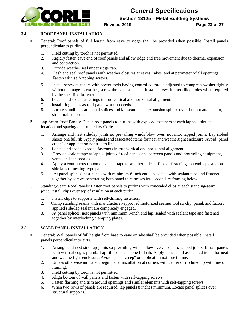

**Section 13125 – Metal Building Systems**

#### **Revised 2019 Page 23 of 27**

### **3.4 ROOF PANEL INSTALLATION**

- A. General: Roof panels of full length from eave to ridge shall be provided when possible. Install panels perpendicular to purlins.
	- 1. Field cutting by torch is not permitted.
	- 2. Rigidly fasten eave end of roof panels and allow ridge end free movement due to thermal expansion and contraction.
	- 3. Provide weather seal under ridge cap.
	- 4. Flash and seal roof panels with weather closures at eaves, rakes, and at perimeter of all openings. Fasten with self-tapping screws.
	- 5. Install screw fasteners with power tools having controlled torque adjusted to compress washer tightly without damage to washer, screw threads, or panels. Install screws in predrilled holes when required by the specified fastener.
	- 6. Locate and space fastenings in true vertical and horizontal alignment.
	- 7. Install ridge caps as roof panel work proceeds.
	- 8. Locate standing seam panel splices and lap seam panel expansion splices over, but not attached to, structural supports.
- B. Lap-Seam Roof Panels: Fasten roof panels to purlins with exposed fasteners at each lapped joint at location and spacing determined by Corle.
	- 1. Arrange and nest side-lap joints so prevailing winds blow over, not into, lapped joints. Lap ribbed sheets one full rib. Apply panels and associated items for neat and weathertight enclosure. Avoid "panel creep" or application not true to line.
	- 2. Locate and space exposed fasteners in true vertical and horizontal alignment.
	- 3. Provide sealant tape at lapped joints of roof panels and between panels and protruding equipment, vents, and accessories.
	- 4. Apply a continuous ribbon of sealant tape to weather-side surface of fastenings on end laps, and on side laps of nesting-type panels.
	- 5. At panel splices, nest panels with minimum 8-inch end lap, sealed with sealant tape and fastened together by screws penetrating both panel thicknesses into secondary framing below.
- C. Standing-Seam Roof Panels: Fasten roof panels to purlins with concealed clips at each standing-seam joint. Install clips over top of insulation at each purlin.
	- 1. Install clips to supports with self-drilling fasteners.
	- 2. Crimp standing seams with manufacturer-approved motorized seamer tool so clip, panel, and factory applied side-lap sealant are completely engaged.
	- 3. At panel splices, nest panels with minimum 3-inch end lap, sealed with sealant tape and fastened together by interlocking clamping plates.

### **3.5 WALL PANEL INSTALLATION**

- A. General: Wall panels of full height from base to eave or rake shall be provided when possible. Install panels perpendicular to girts.
	- 1. Arrange and nest side-lap joints so prevailing winds blow over, not into, lapped joints. Install panels with vertical edges plumb. Lap ribbed sheets one full rib. Apply panels and associated items for neat and weathertight enclosure. Avoid "panel creep" or application not true to line.
	- 2. Unless otherwise indicated, begin panel installation at corners with center of rib lined up with line of framing.
	- 3. Field cutting by torch is not permitted.
	- 4. Align bottom of wall panels and fasten with self-tapping screws.
	- 5. Fasten flashing and trim around openings and similar elements with self-tapping screws.
	- 6. When two rows of panels are required, lap panels 8 inches minimum. Locate panel splices over structural supports.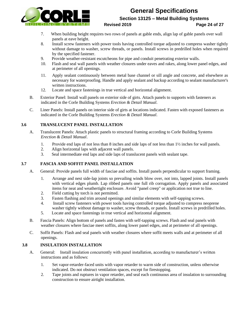

**Section 13125 – Metal Building Systems**

#### **Revised 2019 Page 24 of 27**

- 7. When building height requires two rows of panels at gable ends, align lap of gable panels over wall panels at eave height.
- 8. Install screw fasteners with power tools having controlled torque adjusted to compress washer tightly without damage to washer, screw threads, or panels. Install screws in predrilled holes when required by the specified fastener.
- 9. Provide weather-resistant escutcheons for pipe and conduit penetrating exterior walls.
- 10. Flash and seal wall panels with weather closures under eaves and rakes, along lower panel edges, and at perimeter of all openings.
- 11. Apply sealant continuously between metal base channel or sill angle and concrete, and elsewhere as necessary for waterproofing. Handle and apply sealant and backup according to sealant manufacturer's written instructions.
- 12. Locate and space fastenings in true vertical and horizontal alignment.
- B. Exterior Panel: Install wall panels on exterior side of girts. Attach panels to supports with fasteners as indicated in the Corle Building Systems *Erection & Detail Manual*.
- C. Liner Panels: Install panels on interior side of girts at locations indicated. Fasten with exposed fasteners as indicated in the Corle Building Systems *Erection & Detail Manual*.

### **3.6 TRANSLUCENT PANEL INSTALLATION**

- A. Translucent Panels: Attach plastic panels to structural framing according to Corle Building Systems *Erection & Detail Manual*.
	- 1. Provide end laps of not less than 8 inches and side laps of not less than 1½ inches for wall panels.
	- 2. Align horizontal laps with adjacent wall panels.
	- 3. Seal intermediate end laps and side laps of translucent panels with sealant tape.

### **3.7 FASCIA AND SOFFIT PANEL INSTALLATION**

- A. General: Provide panels full width of fasciae and soffits. Install panels perpendicular to support framing.
	- 1. Arrange and nest side-lap joints so prevailing winds blow over, not into, lapped joints. Install panels with vertical edges plumb. Lap ribbed panels one full rib corrugation. Apply panels and associated items for neat and weathertight enclosure. Avoid "panel creep" or application not true to line.
	- 2. Field cutting by torch is not permitted.
	- 3. Fasten flashing and trim around openings and similar elements with self-tapping screws.
	- 4. Install screw fasteners with power tools having controlled torque adjusted to compress neoprene washer tightly without damage to washer, screw threads, or panels. Install screws in predrilled holes.
	- 5. Locate and space fastenings in true vertical and horizontal alignment.
- B. Fascia Panels: Align bottom of panels and fasten with self-tapping screws. Flash and seal panels with weather closures where fasciae meet soffits, along lower panel edges, and at perimeter of all openings.
- C. Soffit Panels: Flash and seal panels with weather closures where soffit meets walls and at perimeter of all openings.

### **3.8 INSULATION INSTALLATION**

- A. General: Install insulation concurrently with panel installation, according to manufacturer's written instructions and as follows:
	- 1. Set vapor-retarder-faced units with vapor retarder to warm side of construction, unless otherwise indicated. Do not obstruct ventilation spaces, except for firestopping.
	- 2. Tape joints and ruptures in vapor retarder, and seal each continuous area of insulation to surrounding construction to ensure airtight installation.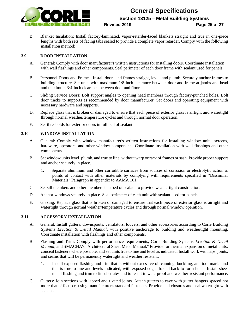

### **General Specifications Section 13125 – Metal Building Systems Revised 2019 Page 25 of 27**

B. Blanket Insulation: Install factory-laminated, vapor-retarder-faced blankets straight and true in one-piece lengths with both sets of facing tabs sealed to provide a complete vapor retarder. Comply with the following installation method:

### **3.9 DOOR INSTALLATION**

- A. General: Comply with door manufacturer's written instructions for installing doors. Coordinate installation with wall flashings and other components. Seal perimeter of each door frame with sealant used for panels.
- B. Personnel Doors and Frames: Install doors and frames straight, level, and plumb. Securely anchor frames to building structure. Set units with maximum 1/8-inch clearance between door and frame at jambs and head and maximum 3/4-inch clearance between door and floor.
- C. Sliding Service Doors: Bolt support angles to opening head members through factory-punched holes. Bolt door tracks to supports as recommended by door manufacturer. Set doors and operating equipment with necessary hardware and supports.
- D. Replace glass that is broken or damaged to ensure that each piece of exterior glass is airtight and watertight through normal weather/temperature cycles and through normal door operation.
- E. Set thresholds for exterior doors in full bed of sealant.

### **3.10 WINDOW INSTALLATION**

- A. General: Comply with window manufacturer's written instructions for installing window units, screens, hardware, operators, and other window components. Coordinate installation with wall flashings and other components.
- B. Set window units level, plumb, and true to line, without warp or rack of frames or sash. Provide proper support and anchor securely in place.
	- 1. Separate aluminum and other corrodible surfaces from sources of corrosion or electrolytic action at points of contact with other materials by complying with requirements specified in "Dissimilar Materials" Paragraph in appendix to AAMA 101.
- C. Set sill members and other members in a bed of sealant to provide weathertight construction.
- D. Anchor windows securely in place. Seal perimeter of each unit with sealant used for panels.
- E. Glazing: Replace glass that is broken or damaged to ensure that each piece of exterior glass is airtight and watertight through normal weather/temperature cycles and through normal window operation.

#### **3.11 ACCESSORY INSTALLATION**

- A. General: Install gutters, downspouts, ventilators, louvers, and other accessories according to Corle Building Systems *Erection & Detail Manual*, with positive anchorage to building and weathertight mounting. Coordinate installation with flashings and other components.
- B. Flashing and Trim: Comply with performance requirements, Corle Building Systems *Erection & Detail Manual*, and SMACNA's "Architectural Sheet Metal Manual." Provide for thermal expansion of metal units; conceal fasteners where possible, and set units true to line and level as indicated. Install work with laps, joints, and seams that will be permanently watertight and weather resistant.
	- 1. Install exposed flashing and trim that is without excessive oil canning, buckling, and tool marks and that is true to line and levels indicated, with exposed edges folded back to form hems. Install sheet metal flashing and trim to fit substrates and to result in waterproof and weather-resistant performance.
- C. Gutters: Join sections with lapped and riveted joints. Attach gutters to eave with gutter hangers spaced not more than 2 feet o.c. using manufacturer's standard fasteners. Provide end closures and seal watertight with sealant.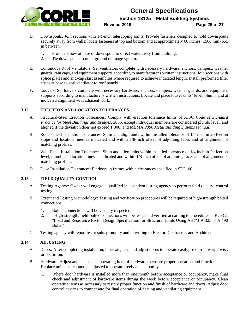

### **General Specifications Section 13125 – Metal Building Systems Revised 2019 Page 26 of 27**

- 
- D. Downspouts: Join sections with 1½-inch telescoping joints. Provide fasteners designed to hold downspouts securely away from walls; locate fasteners at top and bottom and at approximately 60 inches (1500 mm) o.c. in between.
	- 1. Provide elbow at base of downspout to direct water away from building.
	- 2. Tie downspouts to underground drainage system.
- E. Continuous Roof Ventilators: Set ventilators complete with necessary hardware, anchors, dampers, weather guards, rain caps, and equipment supports according to manufacturer's written instructions. Join sections with splice plates and end-cap skirt assemblies where required to achieve indicated length. Install preformed filler strips at base to seal ventilator to roof panels.
- F. Louvers: Set louvers complete with necessary hardware, anchors, dampers, weather guards, and equipment supports according to manufacturer's written instructions. Locate and place louver units' level, plumb, and at indicated alignment with adjacent work.

### **3.12 ERECTION AND LOCATION TOLERANCES**

- A. Structural-Steel Erection Tolerances: Comply with erection tolerance limits of AISC *Code of Standard Practice for Steel Buildings and Bridges*, 2005, except individual members are considered plumb, level, and aligned if the deviation does not exceed 1:300; and MBMA *2006 Metal Building Systems Manual*.
- B. Roof Panel Installation Tolerances: Shim and align units within installed tolerance of 1/4 inch in 20 feet on slope and location lines as indicated and within 1/8-inch offset of adjoining faces and of alignment of matching profiles.
- C. Wall Panel Installation Tolerances: Shim and align units within installed tolerance of 1/4 inch in 20 feet on level, plumb, and location lines as indicated and within 1/8-inch offset of adjoining faces and of alignment of matching profiles.
- D. Door Installation Tolerances: Fit doors in frames within clearances specified in SDI 100.

### **3.13 FIELD QUALITY CONTROL**

- A. Testing Agency: Owner will engage a qualified independent testing agency to perform field quality- control testing.
- B. Extent and Testing Methodology: Testing and verification procedures will be required of high-strength bolted connections.
	- 1. Bolted connections will be visually inspected.
	- 2. High-strength, field-bolted connections will be tested and verified according to procedures in RCSC's "Load and Resistance Factor Design Specification for Structural Joints Using ASTM A 325 or A 490 Bolts."
- C. Testing agency will report test results promptly and in writing to Erector, Contractor, and Architect.

#### **3.14 ADJUSTING**

- A. Doors: After completing installation, lubricate, test, and adjust doors to operate easily, free from warp, twist, or distortion.
- B. Hardware: Adjust and check each operating item of hardware to ensure proper operation and function. Replace units that cannot be adjusted to operate freely and smoothly.
	- 1. Where door hardware is installed more than one month before acceptance or occupancy, make final check and adjustment of hardware items during the week before acceptance or occupancy. Clean operating items as necessary to restore proper function and finish of hardware and doors. Adjust door control devices to compensate for final operation of heating and ventilating equipment.